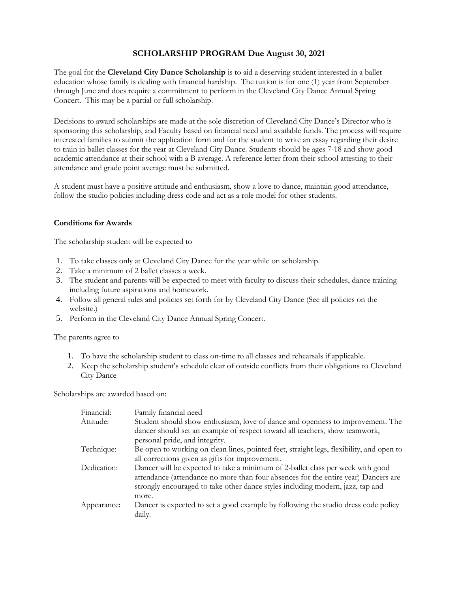### **SCHOLARSHIP PROGRAM Due August 30, 2021**

The goal for the **Cleveland City Dance Scholarship** is to aid a deserving student interested in a ballet education whose family is dealing with financial hardship. The tuition is for one (1) year from September through June and does require a commitment to perform in the Cleveland City Dance Annual Spring Concert. This may be a partial or full scholarship.

Decisions to award scholarships are made at the sole discretion of Cleveland City Dance's Director who is sponsoring this scholarship, and Faculty based on financial need and available funds. The process will require interested families to submit the application form and for the student to write an essay regarding their desire to train in ballet classes for the year at Cleveland City Dance. Students should be ages 7-18 and show good academic attendance at their school with a B average. A reference letter from their school attesting to their attendance and grade point average must be submitted.

A student must have a positive attitude and enthusiasm, show a love to dance, maintain good attendance, follow the studio policies including dress code and act as a role model for other students.

### **Conditions for Awards**

The scholarship student will be expected to

- 1. To take classes only at Cleveland City Dance for the year while on scholarship.
- 2. Take a minimum of 2 ballet classes a week.
- 3. The student and parents will be expected to meet with faculty to discuss their schedules, dance training including future aspirations and homework.
- 4. Follow all general rules and policies set forth for by Cleveland City Dance (See all policies on the website.)
- 5. Perform in the Cleveland City Dance Annual Spring Concert.

The parents agree to

- 1. To have the scholarship student to class on-time to all classes and rehearsals if applicable.
- 2. Keep the scholarship student's schedule clear of outside conflicts from their obligations to Cleveland City Dance

Scholarships are awarded based on:

| Family financial need                                                                    |
|------------------------------------------------------------------------------------------|
| Student should show enthusiasm, love of dance and openness to improvement. The           |
| dancer should set an example of respect toward all teachers, show teamwork,              |
| personal pride, and integrity.                                                           |
| Be open to working on clean lines, pointed feet, straight legs, flexibility, and open to |
| all corrections given as gifts for improvement.                                          |
| Dancer will be expected to take a minimum of 2-ballet class per week with good           |
| attendance (attendance no more than four absences for the entire year) Dancers are       |
| strongly encouraged to take other dance styles including modern, jazz, tap and           |
| more.                                                                                    |
| Dancer is expected to set a good example by following the studio dress code policy       |
| daily.                                                                                   |
|                                                                                          |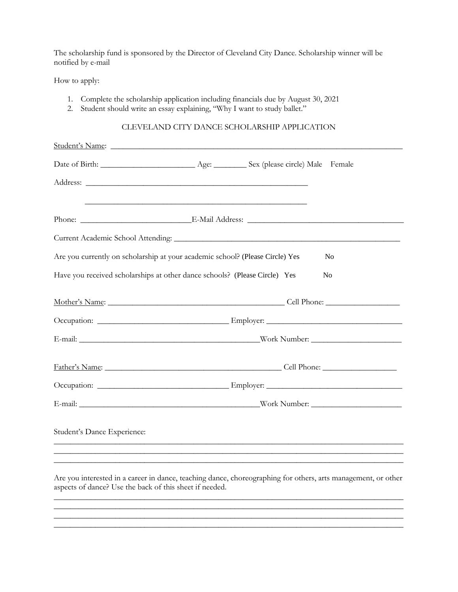The scholarship fund is sponsored by the Director of Cleveland City Dance. Scholarship winner will be notified by e-mail

How to apply:

- 1. Complete the scholarship application including financials due by August 30, 2021
- 2. Student should write an essay explaining, "Why I want to study ballet."

#### CLEVELAND CITY DANCE SCHOLARSHIP APPLICATION

|                                                                               | <u> 1989 - Johann Stoff, amerikansk politiker (d. 1989)</u> |                |  |
|-------------------------------------------------------------------------------|-------------------------------------------------------------|----------------|--|
|                                                                               |                                                             |                |  |
|                                                                               |                                                             |                |  |
| Are you currently on scholarship at your academic school? (Please Circle) Yes |                                                             | N <sub>o</sub> |  |
| Have you received scholarships at other dance schools? (Please Circle) Yes    |                                                             | N <sub>o</sub> |  |
|                                                                               |                                                             |                |  |
|                                                                               |                                                             |                |  |
|                                                                               |                                                             |                |  |
|                                                                               |                                                             |                |  |
|                                                                               |                                                             |                |  |
|                                                                               |                                                             |                |  |
| Student's Dance Experience:                                                   |                                                             |                |  |
|                                                                               |                                                             |                |  |
|                                                                               |                                                             |                |  |

Are you interested in a career in dance, teaching dance, choreographing for others, arts management, or other aspects of dance? Use the back of this sheet if needed. \_\_\_\_\_\_\_\_\_\_\_\_\_\_\_\_\_\_\_\_\_\_\_\_\_\_\_\_\_\_\_\_\_\_\_\_\_\_\_\_\_\_\_\_\_\_\_\_\_\_\_\_\_\_\_\_\_\_\_\_\_\_\_\_\_\_\_\_\_\_\_\_\_\_\_\_\_\_\_\_\_\_\_\_\_

\_\_\_\_\_\_\_\_\_\_\_\_\_\_\_\_\_\_\_\_\_\_\_\_\_\_\_\_\_\_\_\_\_\_\_\_\_\_\_\_\_\_\_\_\_\_\_\_\_\_\_\_\_\_\_\_\_\_\_\_\_\_\_\_\_\_\_\_\_\_\_\_\_\_\_\_\_\_\_\_\_\_\_\_\_ \_\_\_\_\_\_\_\_\_\_\_\_\_\_\_\_\_\_\_\_\_\_\_\_\_\_\_\_\_\_\_\_\_\_\_\_\_\_\_\_\_\_\_\_\_\_\_\_\_\_\_\_\_\_\_\_\_\_\_\_\_\_\_\_\_\_\_\_\_\_\_\_\_\_\_\_\_\_\_\_\_\_\_\_\_ \_\_\_\_\_\_\_\_\_\_\_\_\_\_\_\_\_\_\_\_\_\_\_\_\_\_\_\_\_\_\_\_\_\_\_\_\_\_\_\_\_\_\_\_\_\_\_\_\_\_\_\_\_\_\_\_\_\_\_\_\_\_\_\_\_\_\_\_\_\_\_\_\_\_\_\_\_\_\_\_\_\_\_\_\_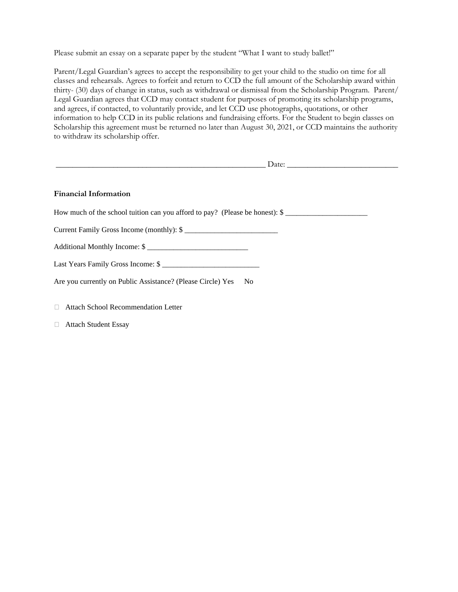Please submit an essay on a separate paper by the student "What I want to study ballet!"

Parent/Legal Guardian's agrees to accept the responsibility to get your child to the studio on time for all classes and rehearsals. Agrees to forfeit and return to CCD the full amount of the Scholarship award within thirty- (30) days of change in status, such as withdrawal or dismissal from the Scholarship Program. Parent/ Legal Guardian agrees that CCD may contact student for purposes of promoting its scholarship programs, and agrees, if contacted, to voluntarily provide, and let CCD use photographs, quotations, or other information to help CCD in its public relations and fundraising efforts. For the Student to begin classes on Scholarship this agreement must be returned no later than August 30, 2021, or CCD maintains the authority to withdraw its scholarship offer.

| <u> Andreas Andreas Andreas Andreas Andreas Andreas Andreas Andreas Andreas Andreas Andreas Andreas Andreas Andr</u> |  |
|----------------------------------------------------------------------------------------------------------------------|--|
| <b>Financial Information</b>                                                                                         |  |
| How much of the school tuition can you afford to pay? (Please be honest): \$                                         |  |
| Current Family Gross Income (monthly): \$                                                                            |  |
| Additional Monthly Income: \$                                                                                        |  |
| Last Years Family Gross Income: \$                                                                                   |  |
| Are you currently on Public Assistance? (Please Circle) Yes No                                                       |  |
| $\Box$ Attach School Recommendation Letter                                                                           |  |

Attach Student Essay